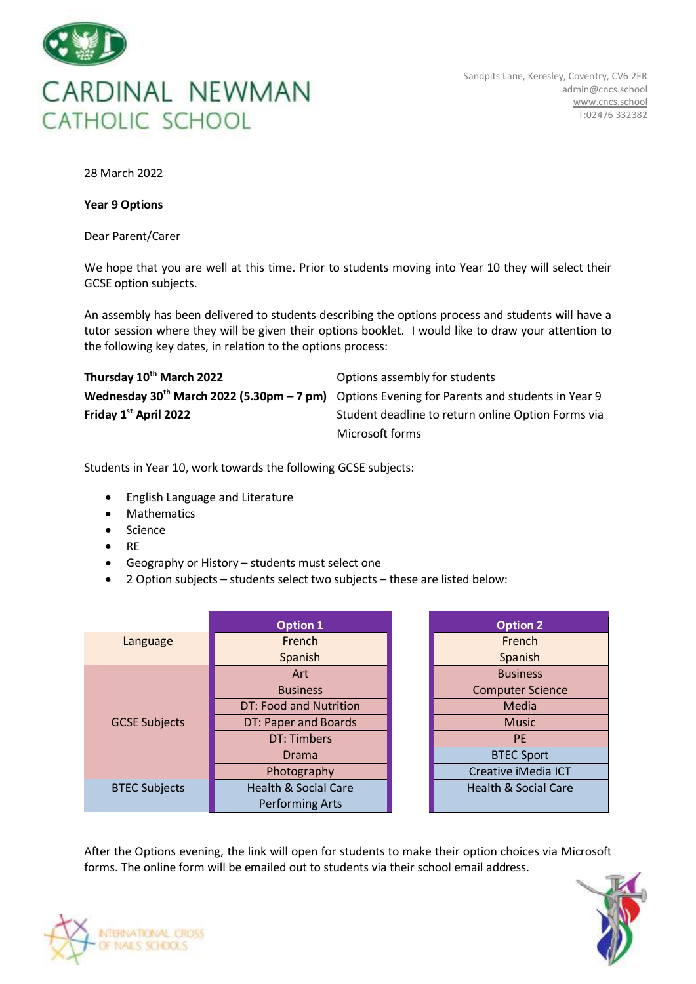

28 March 2022

## **Year 9 Options**

Dear Parent/Carer

We hope that you are well at this time. Prior to students moving into Year 10 they will select their GCSE option subjects.

An assembly has been delivered to students describing the options process and students will have a tutor session where they will be given their options booklet. I would like to draw your attention to the following key dates, in relation to the options process:

| Thursday 10 <sup>th</sup> March 2022 | Options assembly for students                                                                      |  |  |
|--------------------------------------|----------------------------------------------------------------------------------------------------|--|--|
|                                      | Wednesday $30^{th}$ March 2022 (5.30pm $-7$ pm) Options Evening for Parents and students in Year 9 |  |  |
| Friday 1st April 2022                | Student deadline to return online Option Forms via                                                 |  |  |
|                                      | Microsoft forms                                                                                    |  |  |

Students in Year 10, work towards the following GCSE subjects:

- English Language and Literature
- Mathematics
- Science
- RE
- Geography or History students must select one
- 2 Option subjects students select two subjects these are listed below:

|                      | <b>Option 1</b>                 | <b>Option 2</b>                 |
|----------------------|---------------------------------|---------------------------------|
| Language             | French                          | French                          |
|                      | Spanish                         | Spanish                         |
|                      | Art                             | <b>Business</b>                 |
|                      | <b>Business</b>                 | <b>Computer Science</b>         |
|                      | DT: Food and Nutrition          | Media                           |
| <b>GCSE Subjects</b> | DT: Paper and Boards            | <b>Music</b>                    |
|                      | DT: Timbers                     | <b>PE</b>                       |
|                      | Drama                           | <b>BTEC Sport</b>               |
|                      | Photography                     | Creative iMedia ICT             |
| <b>BTEC Subjects</b> | <b>Health &amp; Social Care</b> | <b>Health &amp; Social Care</b> |
|                      | <b>Performing Arts</b>          |                                 |

| <b>Option 2</b>                 |
|---------------------------------|
| French                          |
| Spanish                         |
| <b>Business</b>                 |
| <b>Computer Science</b>         |
| Media                           |
| Music                           |
| PF                              |
| <b>BTEC Sport</b>               |
| Creative iMedia ICT             |
| <b>Health &amp; Social Care</b> |
|                                 |

After the Options evening, the link will open for students to make their option choices via Microsoft forms. The online form will be emailed out to students via their school email address.